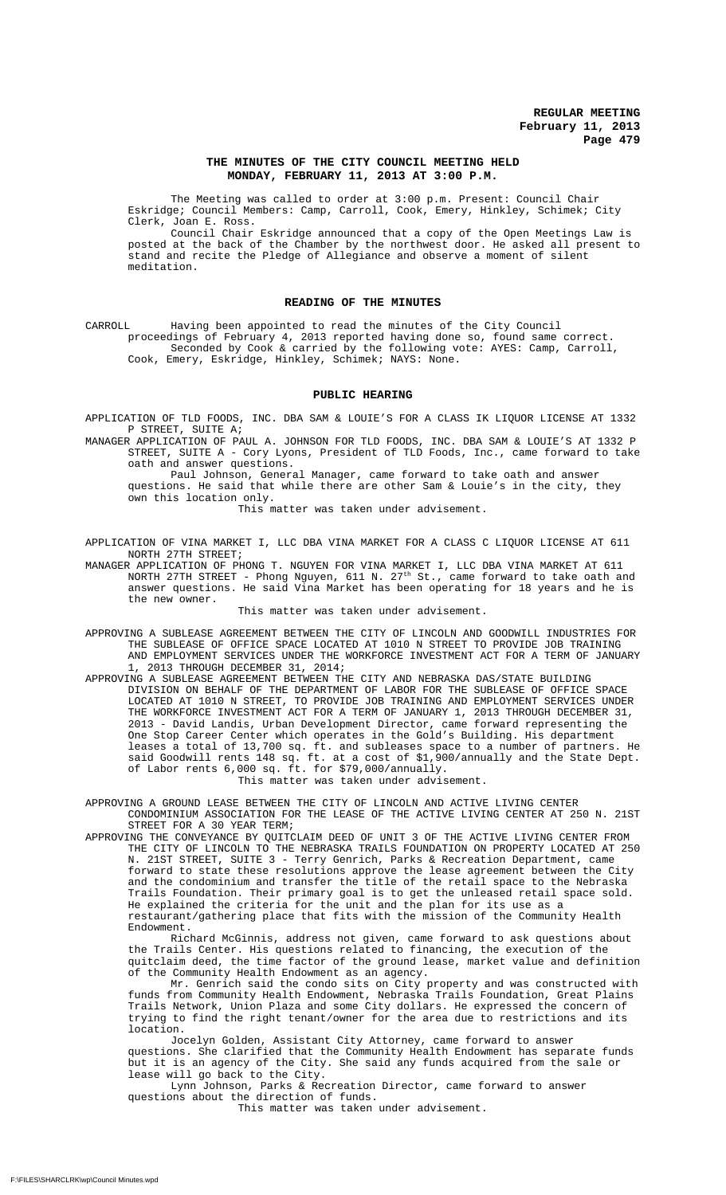## **THE MINUTES OF THE CITY COUNCIL MEETING HELD MONDAY, FEBRUARY 11, 2013 AT 3:00 P.M.**

The Meeting was called to order at 3:00 p.m. Present: Council Chair Eskridge; Council Members: Camp, Carroll, Cook, Emery, Hinkley, Schimek; City Clerk, Joan E. Ross.

Council Chair Eskridge announced that a copy of the Open Meetings Law is posted at the back of the Chamber by the northwest door. He asked all present to stand and recite the Pledge of Allegiance and observe a moment of silent meditation.

## **READING OF THE MINUTES**

CARROLL Having been appointed to read the minutes of the City Council proceedings of February 4, 2013 reported having done so, found same correct. Seconded by Cook & carried by the following vote: AYES: Camp, Carroll, Cook, Emery, Eskridge, Hinkley, Schimek; NAYS: None.

### **PUBLIC HEARING**

APPLICATION OF TLD FOODS, INC. DBA SAM & LOUIE'S FOR A CLASS IK LIQUOR LICENSE AT 1332 P STREET, SUITE A;

MANAGER APPLICATION OF PAUL A. JOHNSON FOR TLD FOODS, INC. DBA SAM & LOUIE'S AT 1332 P STREET, SUITE A - Cory Lyons, President of TLD Foods, Inc., came forward to take oath and answer questions.

Paul Johnson, General Manager, came forward to take oath and answer questions. He said that while there are other Sam & Louie's in the city, they own this location only.

This matter was taken under advisement.

APPLICATION OF VINA MARKET I, LLC DBA VINA MARKET FOR A CLASS C LIQUOR LICENSE AT 611 NORTH 27TH STREET;

MANAGER APPLICATION OF PHONG T. NGUYEN FOR VINA MARKET I, LLC DBA VINA MARKET AT 611 NORTH 27TH STREET - Phong Nguyen, 611 N. 27th St., came forward to take oath and answer questions. He said Vina Market has been operating for 18 years and he is the new owner.

This matter was taken under advisement.

- APPROVING A SUBLEASE AGREEMENT BETWEEN THE CITY OF LINCOLN AND GOODWILL INDUSTRIES FOR THE SUBLEASE OF OFFICE SPACE LOCATED AT 1010 N STREET TO PROVIDE JOB TRAINING AND EMPLOYMENT SERVICES UNDER THE WORKFORCE INVESTMENT ACT FOR A TERM OF JANUARY 1, 2013 THROUGH DECEMBER 31, 2014;
- APPROVING A SUBLEASE AGREEMENT BETWEEN THE CITY AND NEBRASKA DAS/STATE BUILDING DIVISION ON BEHALF OF THE DEPARTMENT OF LABOR FOR THE SUBLEASE OF OFFICE SPACE LOCATED AT 1010 N STREET, TO PROVIDE JOB TRAINING AND EMPLOYMENT SERVICES UNDER THE WORKFORCE INVESTMENT ACT FOR A TERM OF JANUARY 1, 2013 THROUGH DECEMBER 31, 2013 - David Landis, Urban Development Director, came forward representing the One Stop Career Center which operates in the Gold's Building. His department leases a total of 13,700 sq. ft. and subleases space to a number of partners. He said Goodwill rents 148 sq. ft. at a cost of \$1,900/annually and the State Dept. of Labor rents 6,000 sq. ft. for \$79,000/annually. This matter was taken under advisement.

APPROVING A GROUND LEASE BETWEEN THE CITY OF LINCOLN AND ACTIVE LIVING CENTER CONDOMINIUM ASSOCIATION FOR THE LEASE OF THE ACTIVE LIVING CENTER AT 250 N. 21ST STREET FOR A 30 YEAR TERM;

APPROVING THE CONVEYANCE BY QUITCLAIM DEED OF UNIT 3 OF THE ACTIVE LIVING CENTER FROM THE CITY OF LINCOLN TO THE NEBRASKA TRAILS FOUNDATION ON PROPERTY LOCATED AT 250 N. 21ST STREET, SUITE 3 - Terry Genrich, Parks & Recreation Department, came forward to state these resolutions approve the lease agreement between the City and the condominium and transfer the title of the retail space to the Nebraska Trails Foundation. Their primary goal is to get the unleased retail space sold. He explained the criteria for the unit and the plan for its use as a restaurant/gathering place that fits with the mission of the Community Health Endowment.

Richard McGinnis, address not given, came forward to ask questions about the Trails Center. His questions related to financing, the execution of the quitclaim deed, the time factor of the ground lease, market value and definition of the Community Health Endowment as an agency.

Mr. Genrich said the condo sits on City property and was constructed with funds from Community Health Endowment, Nebraska Trails Foundation, Great Plains Trails Network, Union Plaza and some City dollars. He expressed the concern of trying to find the right tenant/owner for the area due to restrictions and its location.

Jocelyn Golden, Assistant City Attorney, came forward to answer questions. She clarified that the Community Health Endowment has separate funds but it is an agency of the City. She said any funds acquired from the sale or lease will go back to the City.

Lynn Johnson, Parks & Recreation Director, came forward to answer questions about the direction of funds.

This matter was taken under advisement.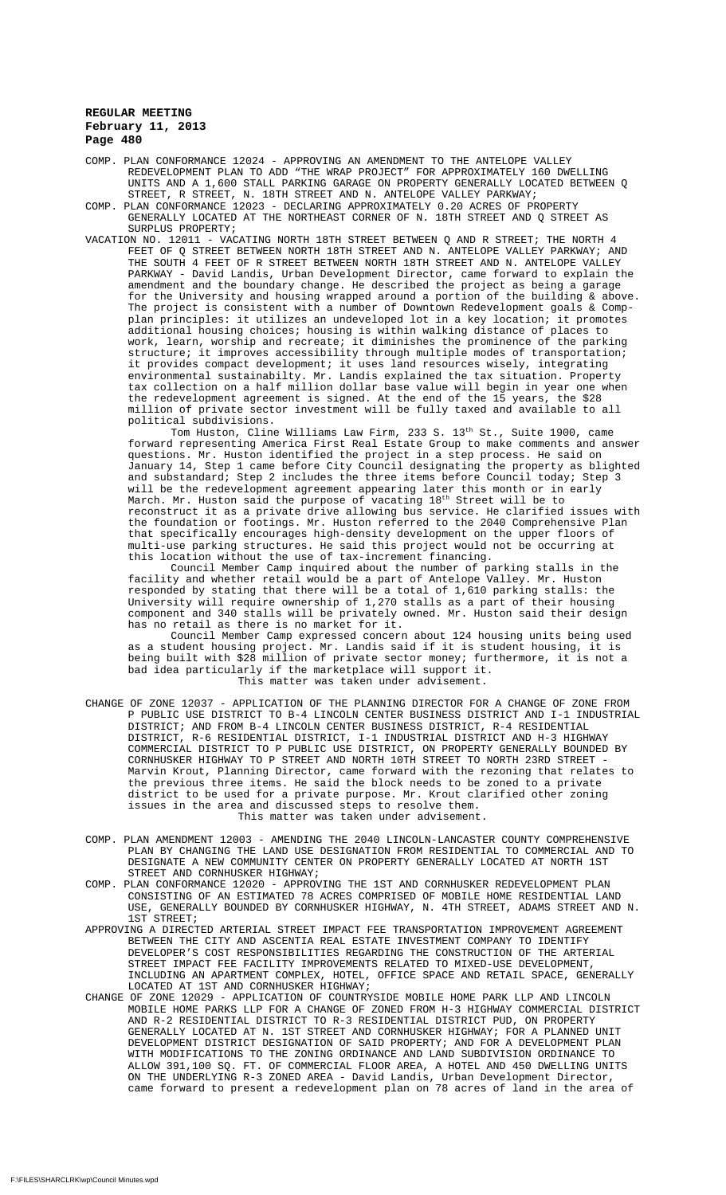COMP. PLAN CONFORMANCE 12024 - APPROVING AN AMENDMENT TO THE ANTELOPE VALLEY REDEVELOPMENT PLAN TO ADD "THE WRAP PROJECT" FOR APPROXIMATELY 160 DWELLING UNITS AND A 1,600 STALL PARKING GARAGE ON PROPERTY GENERALLY LOCATED BETWEEN Q STREET, R STREET, N. 18TH STREET AND N. ANTELOPE VALLEY PARKWAY;

- COMP. PLAN CONFORMANCE 12023 DECLARING APPROXIMATELY 0.20 ACRES OF PROPERTY GENERALLY LOCATED AT THE NORTHEAST CORNER OF N. 18TH STREET AND Q STREET AS SURPLUS PROPERTY;
- VACATION NO. 12011 VACATING NORTH 18TH STREET BETWEEN Q AND R STREET; THE NORTH 4 FEET OF Q STREET BETWEEN NORTH 18TH STREET AND N. ANTELOPE VALLEY PARKWAY; AND THE SOUTH 4 FEET OF R STREET BETWEEN NORTH 18TH STREET AND N. ANTELOPE VALLEY PARKWAY - David Landis, Urban Development Director, came forward to explain the amendment and the boundary change. He described the project as being a garage for the University and housing wrapped around a portion of the building & above. The project is consistent with a number of Downtown Redevelopment goals & Compplan principles: it utilizes an undeveloped lot in a key location; it promotes additional housing choices; housing is within walking distance of places to work, learn, worship and recreate; it diminishes the prominence of the parking structure; it improves accessibility through multiple modes of transportation; it provides compact development; it uses land resources wisely, integrating environmental sustainabilty. Mr. Landis explained the tax situation. Property tax collection on a half million dollar base value will begin in year one when the redevelopment agreement is signed. At the end of the 15 years, the \$28 million of private sector investment will be fully taxed and available to all political subdivisions.

Tom Huston, Cline Williams Law Firm, 233 S. 13th St., Suite 1900, came forward representing America First Real Estate Group to make comments and answer questions. Mr. Huston identified the project in a step process. He said on January 14, Step 1 came before City Council designating the property as blighted and substandard; Step 2 includes the three items before Council today; Step 3 will be the redevelopment agreement appearing later this month or in early March. Mr. Huston said the purpose of vacating  $18^{\rm th}$  Street will be to reconstruct it as a private drive allowing bus service. He clarified issues with the foundation or footings. Mr. Huston referred to the 2040 Comprehensive Plan that specifically encourages high-density development on the upper floors of multi-use parking structures. He said this project would not be occurring at this location without the use of tax-increment financing.

Council Member Camp inquired about the number of parking stalls in the facility and whether retail would be a part of Antelope Valley. Mr. Huston responded by stating that there will be a total of 1,610 parking stalls: the University will require ownership of 1,270 stalls as a part of their housing component and 340 stalls will be privately owned. Mr. Huston said their design has no retail as there is no market for it.

Council Member Camp expressed concern about 124 housing units being used as a student housing project. Mr. Landis said if it is student housing, it is being built with \$28 million of private sector money; furthermore, it is not a bad idea particularly if the marketplace will support it. This matter was taken under advisement.

- CHANGE OF ZONE 12037 APPLICATION OF THE PLANNING DIRECTOR FOR A CHANGE OF ZONE FROM P PUBLIC USE DISTRICT TO B-4 LINCOLN CENTER BUSINESS DISTRICT AND I-1 INDUSTRIAL DISTRICT; AND FROM B-4 LINCOLN CENTER BUSINESS DISTRICT, R-4 RESIDENTIAL DISTRICT, R-6 RESIDENTIAL DISTRICT, I-1 INDUSTRIAL DISTRICT AND H-3 HIGHWAY COMMERCIAL DISTRICT TO P PUBLIC USE DISTRICT, ON PROPERTY GENERALLY BOUNDED BY CORNHUSKER HIGHWAY TO P STREET AND NORTH 10TH STREET TO NORTH 23RD STREET - Marvin Krout, Planning Director, came forward with the rezoning that relates to the previous three items. He said the block needs to be zoned to a private district to be used for a private purpose. Mr. Krout clarified other zoning issues in the area and discussed steps to resolve them. This matter was taken under advisement.
- COMP. PLAN AMENDMENT 12003 AMENDING THE 2040 LINCOLN-LANCASTER COUNTY COMPREHENSIVE PLAN BY CHANGING THE LAND USE DESIGNATION FROM RESIDENTIAL TO COMMERCIAL AND TO DESIGNATE A NEW COMMUNITY CENTER ON PROPERTY GENERALLY LOCATED AT NORTH 1ST STREET AND CORNHUSKER HIGHWAY;
- COMP. PLAN CONFORMANCE 12020 APPROVING THE 1ST AND CORNHUSKER REDEVELOPMENT PLAN CONSISTING OF AN ESTIMATED 78 ACRES COMPRISED OF MOBILE HOME RESIDENTIAL LAND USE, GENERALLY BOUNDED BY CORNHUSKER HIGHWAY, N. 4TH STREET, ADAMS STREET AND N. 1ST STREET;
- APPROVING A DIRECTED ARTERIAL STREET IMPACT FEE TRANSPORTATION IMPROVEMENT AGREEMENT BETWEEN THE CITY AND ASCENTIA REAL ESTATE INVESTMENT COMPANY TO IDENTIFY DEVELOPER'S COST RESPONSIBILITIES REGARDING THE CONSTRUCTION OF THE ARTERIAL STREET IMPACT FEE FACILITY IMPROVEMENTS RELATED TO MIXED-USE DEVELOPMENT, INCLUDING AN APARTMENT COMPLEX, HOTEL, OFFICE SPACE AND RETAIL SPACE, GENERALLY LOCATED AT 1ST AND CORNHUSKER HIGHWAY;
- CHANGE OF ZONE 12029 APPLICATION OF COUNTRYSIDE MOBILE HOME PARK LLP AND LINCOLN MOBILE HOME PARKS LLP FOR A CHANGE OF ZONED FROM H-3 HIGHWAY COMMERCIAL DISTRICT AND R-2 RESIDENTIAL DISTRICT TO R-3 RESIDENTIAL DISTRICT PUD, ON PROPERTY GENERALLY LOCATED AT N. 1ST STREET AND CORNHUSKER HIGHWAY; FOR A PLANNED UNIT DEVELOPMENT DISTRICT DESIGNATION OF SAID PROPERTY; AND FOR A DEVELOPMENT PLAN WITH MODIFICATIONS TO THE ZONING ORDINANCE AND LAND SUBDIVISION ORDINANCE TO ALLOW 391,100 SQ. FT. OF COMMERCIAL FLOOR AREA, A HOTEL AND 450 DWELLING UNITS ON THE UNDERLYING R-3 ZONED AREA - David Landis, Urban Development Director, came forward to present a redevelopment plan on 78 acres of land in the area of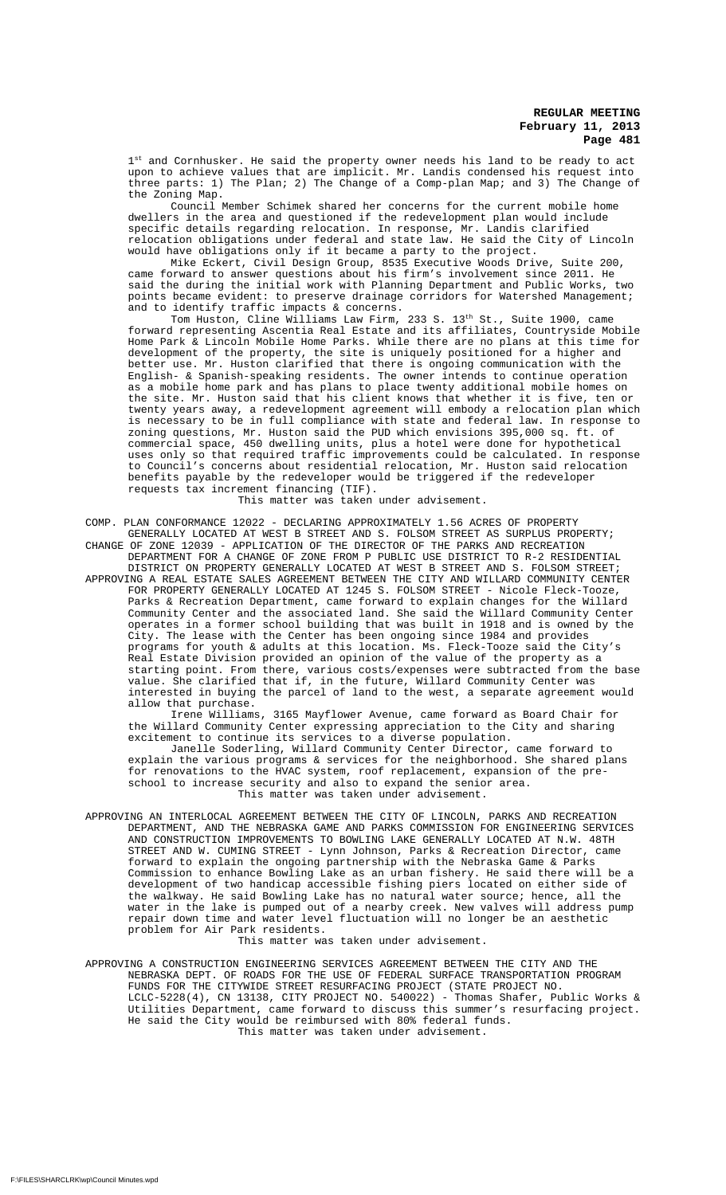1st and Cornhusker. He said the property owner needs his land to be ready to act upon to achieve values that are implicit. Mr. Landis condensed his request into three parts: 1) The Plan; 2) The Change of a Comp-plan Map; and 3) The Change of the Zoning Map.

Council Member Schimek shared her concerns for the current mobile home dwellers in the area and questioned if the redevelopment plan would include specific details regarding relocation. In response, Mr. Landis clarified relocation obligations under federal and state law. He said the City of Lincoln would have obligations only if it became a party to the project.

Mike Eckert, Civil Design Group, 8535 Executive Woods Drive, Suite 200, came forward to answer questions about his firm's involvement since 2011. He said the during the initial work with Planning Department and Public Works, two points became evident: to preserve drainage corridors for Watershed Management; and to identify traffic impacts & concerns.

Tom Huston, Cline Williams Law Firm, 233 S. 13th St., Suite 1900, came forward representing Ascentia Real Estate and its affiliates, Countryside Mobile Home Park & Lincoln Mobile Home Parks. While there are no plans at this time for development of the property, the site is uniquely positioned for a higher and better use. Mr. Huston clarified that there is ongoing communication with the English- & Spanish-speaking residents. The owner intends to continue operation as a mobile home park and has plans to place twenty additional mobile homes on the site. Mr. Huston said that his client knows that whether it is five, ten or twenty years away, a redevelopment agreement will embody a relocation plan which is necessary to be in full compliance with state and federal law. In response to zoning questions, Mr. Huston said the PUD which envisions 395,000 sq. ft. of commercial space, 450 dwelling units, plus a hotel were done for hypothetical uses only so that required traffic improvements could be calculated. In response to Council's concerns about residential relocation, Mr. Huston said relocation benefits payable by the redeveloper would be triggered if the redeveloper requests tax increment financing (TIF).

This matter was taken under advisement.

COMP. PLAN CONFORMANCE 12022 - DECLARING APPROXIMATELY 1.56 ACRES OF PROPERTY GENERALLY LOCATED AT WEST B STREET AND S. FOLSOM STREET AS SURPLUS PROPERTY; CHANGE OF ZONE 12039 - APPLICATION OF THE DIRECTOR OF THE PARKS AND RECREATION

DEPARTMENT FOR A CHANGE OF ZONE FROM P PUBLIC USE DISTRICT TO R-2 RESIDENTIAL DISTRICT ON PROPERTY GENERALLY LOCATED AT WEST B STREET AND S. FOLSOM STREET;

APPROVING A REAL ESTATE SALES AGREEMENT BETWEEN THE CITY AND WILLARD COMMUNITY CENTER FOR PROPERTY GENERALLY LOCATED AT 1245 S. FOLSOM STREET - Nicole Fleck-Tooze, Parks & Recreation Department, came forward to explain changes for the Willard Community Center and the associated land. She said the Willard Community Center operates in a former school building that was built in 1918 and is owned by the City. The lease with the Center has been ongoing since 1984 and provides programs for youth & adults at this location. Ms. Fleck-Tooze said the City's Real Estate Division provided an opinion of the value of the property as a starting point. From there, various costs/expenses were subtracted from the base value. She clarified that if, in the future, Willard Community Center was interested in buying the parcel of land to the west, a separate agreement would allow that purchase.

Irene Williams, 3165 Mayflower Avenue, came forward as Board Chair for the Willard Community Center expressing appreciation to the City and sharing excitement to continue its services to a diverse population.

Janelle Soderling, Willard Community Center Director, came forward to explain the various programs & services for the neighborhood. She shared plans for renovations to the HVAC system, roof replacement, expansion of the preschool to increase security and also to expand the senior area. This matter was taken under advisement.

APPROVING AN INTERLOCAL AGREEMENT BETWEEN THE CITY OF LINCOLN, PARKS AND RECREATION DEPARTMENT, AND THE NEBRASKA GAME AND PARKS COMMISSION FOR ENGINEERING SERVICES AND CONSTRUCTION IMPROVEMENTS TO BOWLING LAKE GENERALLY LOCATED AT N.W. 48TH STREET AND W. CUMING STREET - Lynn Johnson, Parks & Recreation Director, came forward to explain the ongoing partnership with the Nebraska Game & Parks Commission to enhance Bowling Lake as an urban fishery. He said there will be a development of two handicap accessible fishing piers located on either side of the walkway. He said Bowling Lake has no natural water source; hence, all the water in the lake is pumped out of a nearby creek. New valves will address pump repair down time and water level fluctuation will no longer be an aesthetic problem for Air Park residents.

This matter was taken under advisement.

APPROVING A CONSTRUCTION ENGINEERING SERVICES AGREEMENT BETWEEN THE CITY AND THE NEBRASKA DEPT. OF ROADS FOR THE USE OF FEDERAL SURFACE TRANSPORTATION PROGRAM FUNDS FOR THE CITYWIDE STREET RESURFACING PROJECT (STATE PROJECT NO. LCLC-5228(4), CN 13138, CITY PROJECT NO. 540022) - Thomas Shafer, Public Works & Utilities Department, came forward to discuss this summer's resurfacing project. He said the City would be reimbursed with 80% federal funds. This matter was taken under advisement.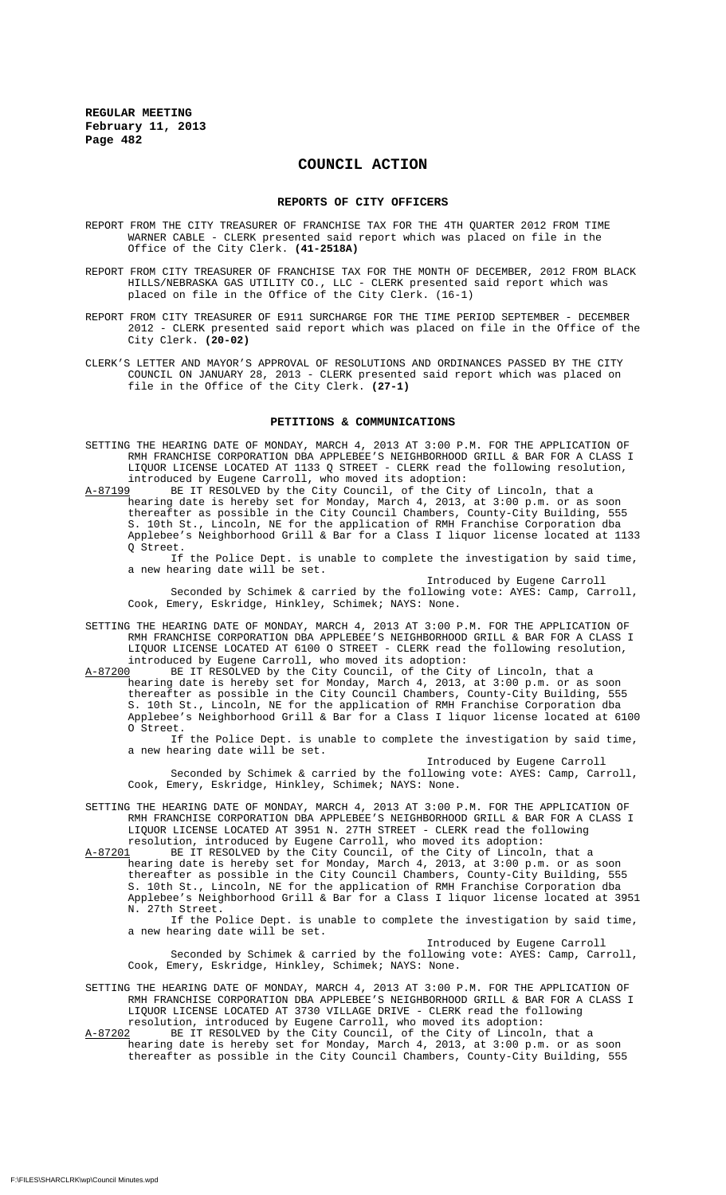## **COUNCIL ACTION**

#### **REPORTS OF CITY OFFICERS**

- REPORT FROM THE CITY TREASURER OF FRANCHISE TAX FOR THE 4TH QUARTER 2012 FROM TIME WARNER CABLE - CLERK presented said report which was placed on file in the Office of the City Clerk. **(41-2518A)**
- REPORT FROM CITY TREASURER OF FRANCHISE TAX FOR THE MONTH OF DECEMBER, 2012 FROM BLACK HILLS/NEBRASKA GAS UTILITY CO., LLC - CLERK presented said report which was placed on file in the Office of the City Clerk. (16-1)
- REPORT FROM CITY TREASURER OF E911 SURCHARGE FOR THE TIME PERIOD SEPTEMBER DECEMBER 2012 - CLERK presented said report which was placed on file in the Office of the City Clerk. **(20-02)**
- CLERK'S LETTER AND MAYOR'S APPROVAL OF RESOLUTIONS AND ORDINANCES PASSED BY THE CITY COUNCIL ON JANUARY 28, 2013 - CLERK presented said report which was placed on file in the Office of the City Clerk. **(27-1)**

#### **PETITIONS & COMMUNICATIONS**

- SETTING THE HEARING DATE OF MONDAY, MARCH 4, 2013 AT 3:00 P.M. FOR THE APPLICATION OF RMH FRANCHISE CORPORATION DBA APPLEBEE'S NEIGHBORHOOD GRILL & BAR FOR A CLASS I LIQUOR LICENSE LOCATED AT 1133 Q STREET - CLERK read the following resolution, introduced by Eugene Carroll, who moved its adoption:
- A-87199 BE IT RESOLVED by the City Council, of the City of Lincoln, that a hearing date is hereby set for Monday, March 4, 2013, at 3:00 p.m. or as soon thereafter as possible in the City Council Chambers, County-City Building, 555 S. 10th St., Lincoln, NE for the application of RMH Franchise Corporation dba Applebee's Neighborhood Grill & Bar for a Class I liquor license located at 1133 Q Street.

If the Police Dept. is unable to complete the investigation by said time, a new hearing date will be set.

Introduced by Eugene Carroll Seconded by Schimek & carried by the following vote: AYES: Camp, Carroll, Cook, Emery, Eskridge, Hinkley, Schimek; NAYS: None.

- SETTING THE HEARING DATE OF MONDAY, MARCH 4, 2013 AT 3:00 P.M. FOR THE APPLICATION OF RMH FRANCHISE CORPORATION DBA APPLEBEE'S NEIGHBORHOOD GRILL & BAR FOR A CLASS I LIQUOR LICENSE LOCATED AT 6100 O STREET - CLERK read the following resolution, introduced by Eugene Carroll, who moved its adoption:
- A-87200 BE IT RESOLVED by the City Council, of the City of Lincoln, that a hearing date is hereby set for Monday, March 4, 2013, at 3:00 p.m. or as soon thereafter as possible in the City Council Chambers, County-City Building, 555 S. 10th St., Lincoln, NE for the application of RMH Franchise Corporation dba Applebee's Neighborhood Grill & Bar for a Class I liquor license located at 6100 O Street.

If the Police Dept. is unable to complete the investigation by said time, a new hearing date will be set.

Introduced by Eugene Carroll

Seconded by Schimek & carried by the following vote: AYES: Camp, Carroll, Cook, Emery, Eskridge, Hinkley, Schimek; NAYS: None.

- SETTING THE HEARING DATE OF MONDAY, MARCH 4, 2013 AT 3:00 P.M. FOR THE APPLICATION OF RMH FRANCHISE CORPORATION DBA APPLEBEE'S NEIGHBORHOOD GRILL & BAR FOR A CLASS I LIQUOR LICENSE LOCATED AT 3951 N. 27TH STREET - CLERK read the following resolution, introduced by Eugene Carroll, who moved its adoption:
- A-87201 BE IT RESOLVED by the City Council, of the City of Lincoln, that a hearing date is hereby set for Monday, March 4, 2013, at 3:00 p.m. or as soon thereafter as possible in the City Council Chambers, County-City Building, 555 S. 10th St., Lincoln, NE for the application of RMH Franchise Corporation dba Applebee's Neighborhood Grill & Bar for a Class I liquor license located at 3951 N. 27th Street.

If the Police Dept. is unable to complete the investigation by said time, a new hearing date will be set. Introduced by Eugene Carroll

Seconded by Schimek & carried by the following vote: AYES: Camp, Carroll, Cook, Emery, Eskridge, Hinkley, Schimek; NAYS: None.

- SETTING THE HEARING DATE OF MONDAY, MARCH 4, 2013 AT 3:00 P.M. FOR THE APPLICATION OF RMH FRANCHISE CORPORATION DBA APPLEBEE'S NEIGHBORHOOD GRILL & BAR FOR A CLASS I LIQUOR LICENSE LOCATED AT 3730 VILLAGE DRIVE - CLERK read the following resolution, introduced by Eugene Carroll, who moved its adoption:
- A-87202 BE IT RESOLVED by the City Council, of the City of Lincoln, that a hearing date is hereby set for Monday, March 4, 2013, at 3:00 p.m. or as soon thereafter as possible in the City Council Chambers, County-City Building, 555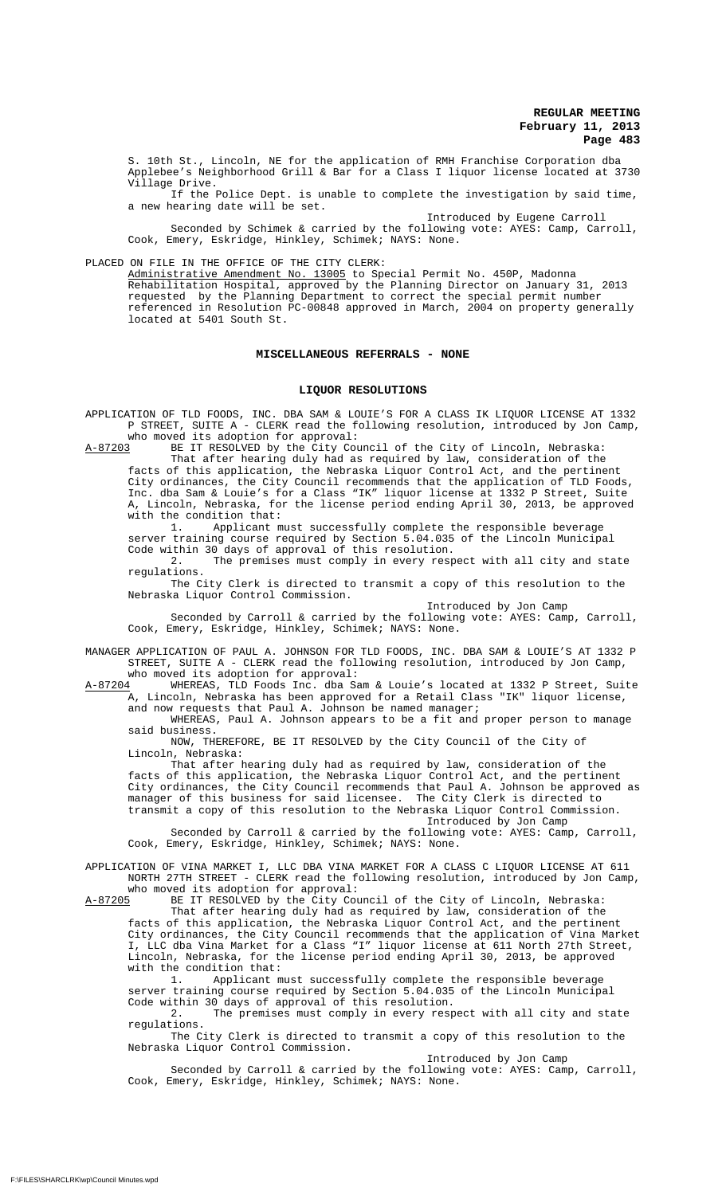S. 10th St., Lincoln, NE for the application of RMH Franchise Corporation dba Applebee's Neighborhood Grill & Bar for a Class I liquor license located at 3730 Village Drive.

If the Police Dept. is unable to complete the investigation by said time, a new hearing date will be set.

Introduced by Eugene Carroll Seconded by Schimek & carried by the following vote: AYES: Camp, Carroll, Cook, Emery, Eskridge, Hinkley, Schimek; NAYS: None.

PLACED ON FILE IN THE OFFICE OF THE CITY CLERK:

Administrative Amendment No. 13005 to Special Permit No. 450P, Madonna Rehabilitation Hospital, approved by the Planning Director on January 31, 2013 requested by the Planning Department to correct the special permit number referenced in Resolution PC-00848 approved in March, 2004 on property generally located at 5401 South St.

## **MISCELLANEOUS REFERRALS - NONE**

## **LIQUOR RESOLUTIONS**

APPLICATION OF TLD FOODS, INC. DBA SAM & LOUIE'S FOR A CLASS IK LIQUOR LICENSE AT 1332 P STREET, SUITE A - CLERK read the following resolution, introduced by Jon Camp, who moved its adoption for approval:<br>A-87203 BE IT RESOLVED by the City Cou

BE IT RESOLVED by the City Council of the City of Lincoln, Nebraska: That after hearing duly had as required by law, consideration of the facts of this application, the Nebraska Liquor Control Act, and the pertinent City ordinances, the City Council recommends that the application of TLD Foods, Inc. dba Sam & Louie's for a Class "IK" liquor license at 1332 P Street, Suite A, Lincoln, Nebraska, for the license period ending April 30, 2013, be approved with the condition that:

1. Applicant must successfully complete the responsible beverage server training course required by Section 5.04.035 of the Lincoln Municipal Code within 30 days of approval of this resolution.

2. The premises must comply in every respect with all city and state regulations.

The City Clerk is directed to transmit a copy of this resolution to the Nebraska Liquor Control Commission.

Introduced by Jon Camp

Seconded by Carroll & carried by the following vote: AYES: Camp, Carroll, Cook, Emery, Eskridge, Hinkley, Schimek; NAYS: None.

MANAGER APPLICATION OF PAUL A. JOHNSON FOR TLD FOODS, INC. DBA SAM & LOUIE'S AT 1332 P STREET, SUITE A - CLERK read the following resolution, introduced by Jon Camp, who moved its adoption for approval:

 $A-87204$  WHEREAS, TLD Foods Inc. dba Sam & Louie's located at 1332 P Street, Suite<br>A, Lincoln, Nebraska has been approved for a Retail Class "IK" liquor license, Lincoln, Nebraska has been approved for a Retail Class "IK" liquor license, and now requests that Paul A. Johnson be named manager;

WHEREAS, Paul A. Johnson appears to be a fit and proper person to manage said business.

NOW, THEREFORE, BE IT RESOLVED by the City Council of the City of Lincoln, Nebraska:

That after hearing duly had as required by law, consideration of the facts of this application, the Nebraska Liquor Control Act, and the pertinent City ordinances, the City Council recommends that Paul A. Johnson be approved as manager of this business for said licensee. The City Clerk is directed to transmit a copy of this resolution to the Nebraska Liquor Control Commission.

Introduced by Jon Camp

Seconded by Carroll & carried by the following vote: AYES: Camp, Carroll, Cook, Emery, Eskridge, Hinkley, Schimek; NAYS: None.

APPLICATION OF VINA MARKET I, LLC DBA VINA MARKET FOR A CLASS C LIQUOR LICENSE AT 611 NORTH 27TH STREET - CLERK read the following resolution, introduced by Jon Camp, who moved its adoption for approval:

 $A-87205$  BE IT RESOLVED by the City Council of the City of Lincoln, Nebraska:

That after hearing duly had as required by law, consideration of the facts of this application, the Nebraska Liquor Control Act, and the pertinent City ordinances, the City Council recommends that the application of Vina Market I, LLC dba Vina Market for a Class "I" liquor license at 611 North 27th Street, Lincoln, Nebraska, for the license period ending April 30, 2013, be approved with the condition that:

1. Applicant must successfully complete the responsible beverage server training course required by Section 5.04.035 of the Lincoln Municipal Code within 30 days of approval of this resolution.

2. The premises must comply in every respect with all city and state regulations.

The City Clerk is directed to transmit a copy of this resolution to the Nebraska Liquor Control Commission.

Introduced by Jon Camp

Seconded by Carroll & carried by the following vote: AYES: Camp, Carroll, Cook, Emery, Eskridge, Hinkley, Schimek; NAYS: None.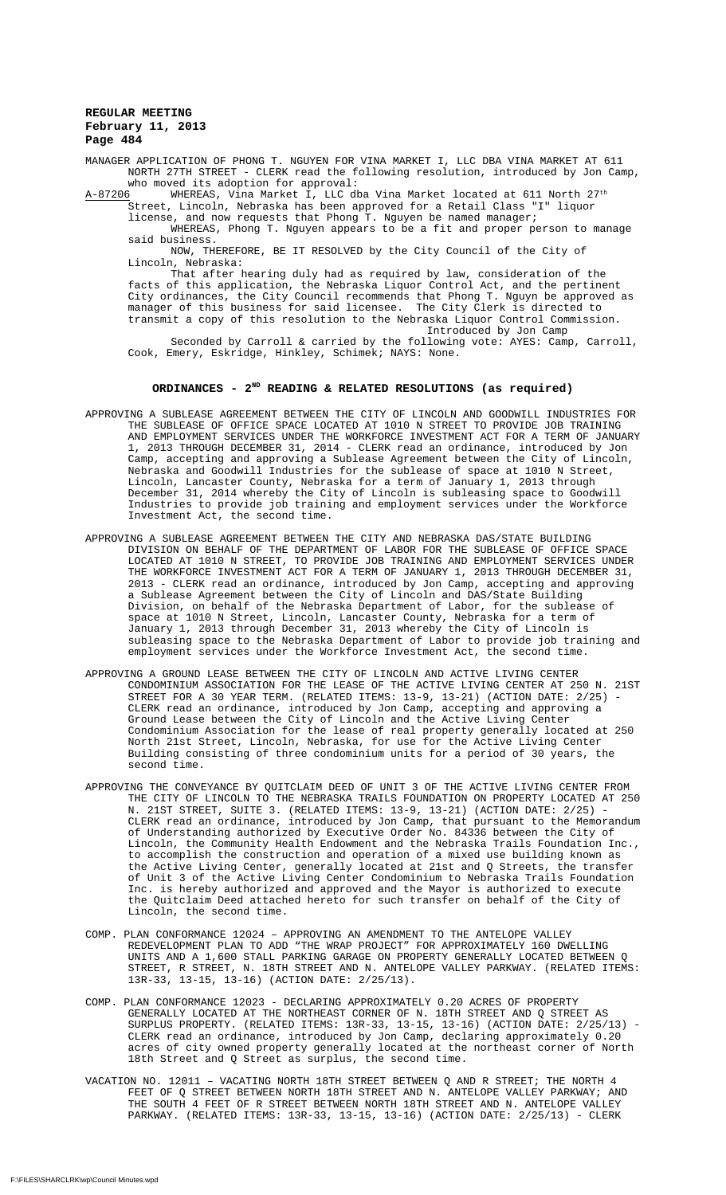MANAGER APPLICATION OF PHONG T. NGUYEN FOR VINA MARKET I, LLC DBA VINA MARKET AT 611 NORTH 27TH STREET - CLERK read the following resolution, introduced by Jon Camp, who moved its adoption for approval:

 $A-87206$  WHEREAS, Vina Market I, LLC dba Vina Market located at 611 North 27<sup>th</sup> Street, Lincoln, Nebraska has been approved for a Retail Class "I" liquor

license, and now requests that Phong T. Nguyen be named manager; WHEREAS, Phong T. Nguyen appears to be a fit and proper person to manage

said business. NOW, THEREFORE, BE IT RESOLVED by the City Council of the City of Lincoln, Nebraska:

That after hearing duly had as required by law, consideration of the facts of this application, the Nebraska Liquor Control Act, and the pertinent City ordinances, the City Council recommends that Phong T. Nguyn be approved as manager of this business for said licensee. The City Clerk is directed to transmit a copy of this resolution to the Nebraska Liquor Control Commission. Introduced by Jon Camp

Seconded by Carroll & carried by the following vote: AYES: Camp, Carroll, Cook, Emery, Eskridge, Hinkley, Schimek; NAYS: None.

# ORDINANCES - 2<sup>ND</sup> READING & RELATED RESOLUTIONS (as required)

- APPROVING A SUBLEASE AGREEMENT BETWEEN THE CITY OF LINCOLN AND GOODWILL INDUSTRIES FOR THE SUBLEASE OF OFFICE SPACE LOCATED AT 1010 N STREET TO PROVIDE JOB TRAINING AND EMPLOYMENT SERVICES UNDER THE WORKFORCE INVESTMENT ACT FOR A TERM OF JANUARY 1, 2013 THROUGH DECEMBER 31, 2014 - CLERK read an ordinance, introduced by Jon Camp, accepting and approving a Sublease Agreement between the City of Lincoln, Nebraska and Goodwill Industries for the sublease of space at 1010 N Street, Lincoln, Lancaster County, Nebraska for a term of January 1, 2013 through December 31, 2014 whereby the City of Lincoln is subleasing space to Goodwill Industries to provide job training and employment services under the Workforce Investment Act, the second time.
- APPROVING A SUBLEASE AGREEMENT BETWEEN THE CITY AND NEBRASKA DAS/STATE BUILDING DIVISION ON BEHALF OF THE DEPARTMENT OF LABOR FOR THE SUBLEASE OF OFFICE SPACE LOCATED AT 1010 N STREET, TO PROVIDE JOB TRAINING AND EMPLOYMENT SERVICES UNDER THE WORKFORCE INVESTMENT ACT FOR A TERM OF JANUARY 1, 2013 THROUGH DECEMBER 31, 2013 - CLERK read an ordinance, introduced by Jon Camp, accepting and approving a Sublease Agreement between the City of Lincoln and DAS/State Building Division, on behalf of the Nebraska Department of Labor, for the sublease of space at 1010 N Street, Lincoln, Lancaster County, Nebraska for a term of January 1, 2013 through December 31, 2013 whereby the City of Lincoln is subleasing space to the Nebraska Department of Labor to provide job training and employment services under the Workforce Investment Act, the second time.
- APPROVING A GROUND LEASE BETWEEN THE CITY OF LINCOLN AND ACTIVE LIVING CENTER CONDOMINIUM ASSOCIATION FOR THE LEASE OF THE ACTIVE LIVING CENTER AT 250 N. 21ST STREET FOR A 30 YEAR TERM. (RELATED ITEMS: 13-9, 13-21) (ACTION DATE: 2/25) - CLERK read an ordinance, introduced by Jon Camp, accepting and approving a Ground Lease between the City of Lincoln and the Active Living Center Condominium Association for the lease of real property generally located at 250 North 21st Street, Lincoln, Nebraska, for use for the Active Living Center Building consisting of three condominium units for a period of 30 years, the second time.
- APPROVING THE CONVEYANCE BY QUITCLAIM DEED OF UNIT 3 OF THE ACTIVE LIVING CENTER FROM THE CITY OF LINCOLN TO THE NEBRASKA TRAILS FOUNDATION ON PROPERTY LOCATED AT 250 N. 21ST STREET, SUITE 3. (RELATED ITEMS: 13-9, 13-21) (ACTION DATE: 2/25) -CLERK read an ordinance, introduced by Jon Camp, that pursuant to the Memorandum of Understanding authorized by Executive Order No. 84336 between the City of Lincoln, the Community Health Endowment and the Nebraska Trails Foundation Inc., to accomplish the construction and operation of a mixed use building known as the Active Living Center, generally located at 21st and Q Streets, the transfer of Unit 3 of the Active Living Center Condominium to Nebraska Trails Foundation Inc. is hereby authorized and approved and the Mayor is authorized to execute the Quitclaim Deed attached hereto for such transfer on behalf of the City of Lincoln, the second time.
- COMP. PLAN CONFORMANCE 12024 APPROVING AN AMENDMENT TO THE ANTELOPE VALLEY REDEVELOPMENT PLAN TO ADD "THE WRAP PROJECT" FOR APPROXIMATELY 160 DWELLING UNITS AND A 1,600 STALL PARKING GARAGE ON PROPERTY GENERALLY LOCATED BETWEEN Q STREET, R STREET, N. 18TH STREET AND N. ANTELOPE VALLEY PARKWAY. (RELATED ITEMS: 13R-33, 13-15, 13-16) (ACTION DATE: 2/25/13).
- COMP. PLAN CONFORMANCE 12023 DECLARING APPROXIMATELY 0.20 ACRES OF PROPERTY GENERALLY LOCATED AT THE NORTHEAST CORNER OF N. 18TH STREET AND Q STREET AS SURPLUS PROPERTY. (RELATED ITEMS: 13R-33, 13-15, 13-16) (ACTION DATE: 2/25/13) - CLERK read an ordinance, introduced by Jon Camp, declaring approximately 0.20 acres of city owned property generally located at the northeast corner of North 18th Street and Q Street as surplus, the second time.
- VACATION NO. 12011 VACATING NORTH 18TH STREET BETWEEN Q AND R STREET; THE NORTH 4 FEET OF Q STREET BETWEEN NORTH 18TH STREET AND N. ANTELOPE VALLEY PARKWAY; AND THE SOUTH 4 FEET OF R STREET BETWEEN NORTH 18TH STREET AND N. ANTELOPE VALLEY PARKWAY. (RELATED ITEMS: 13R-33, 13-15, 13-16) (ACTION DATE: 2/25/13) - CLERK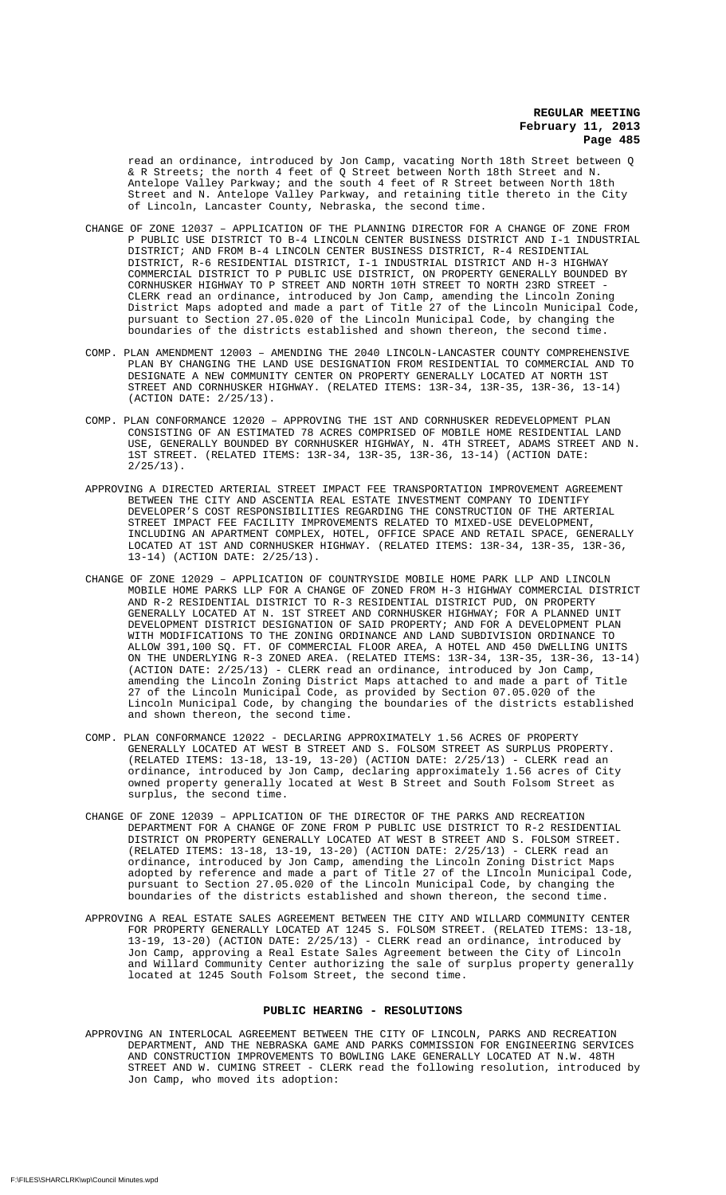read an ordinance, introduced by Jon Camp, vacating North 18th Street between Q & R Streets; the north 4 feet of Q Street between North 18th Street and N. Antelope Valley Parkway; and the south 4 feet of R Street between North 18th Street and N. Antelope Valley Parkway, and retaining title thereto in the City of Lincoln, Lancaster County, Nebraska, the second time.

- CHANGE OF ZONE 12037 APPLICATION OF THE PLANNING DIRECTOR FOR A CHANGE OF ZONE FROM P PUBLIC USE DISTRICT TO B-4 LINCOLN CENTER BUSINESS DISTRICT AND I-1 INDUSTRIAL DISTRICT; AND FROM B-4 LINCOLN CENTER BUSINESS DISTRICT, R-4 RESIDENTIAL DISTRICT, R-6 RESIDENTIAL DISTRICT, I-1 INDUSTRIAL DISTRICT AND H-3 HIGHWAY COMMERCIAL DISTRICT TO P PUBLIC USE DISTRICT, ON PROPERTY GENERALLY BOUNDED BY CORNHUSKER HIGHWAY TO P STREET AND NORTH 10TH STREET TO NORTH 23RD STREET - CLERK read an ordinance, introduced by Jon Camp, amending the Lincoln Zoning District Maps adopted and made a part of Title 27 of the Lincoln Municipal Code, pursuant to Section 27.05.020 of the Lincoln Municipal Code, by changing the boundaries of the districts established and shown thereon, the second time.
- COMP. PLAN AMENDMENT 12003 AMENDING THE 2040 LINCOLN-LANCASTER COUNTY COMPREHENSIVE PLAN BY CHANGING THE LAND USE DESIGNATION FROM RESIDENTIAL TO COMMERCIAL AND TO DESIGNATE A NEW COMMUNITY CENTER ON PROPERTY GENERALLY LOCATED AT NORTH 1ST STREET AND CORNHUSKER HIGHWAY. (RELATED ITEMS: 13R-34, 13R-35, 13R-36, 13-14) (ACTION DATE: 2/25/13).
- COMP. PLAN CONFORMANCE 12020 APPROVING THE 1ST AND CORNHUSKER REDEVELOPMENT PLAN CONSISTING OF AN ESTIMATED 78 ACRES COMPRISED OF MOBILE HOME RESIDENTIAL LAND USE, GENERALLY BOUNDED BY CORNHUSKER HIGHWAY, N. 4TH STREET, ADAMS STREET AND N. 1ST STREET. (RELATED ITEMS: 13R-34, 13R-35, 13R-36, 13-14) (ACTION DATE:  $2/25/13$ .
- APPROVING A DIRECTED ARTERIAL STREET IMPACT FEE TRANSPORTATION IMPROVEMENT AGREEMENT BETWEEN THE CITY AND ASCENTIA REAL ESTATE INVESTMENT COMPANY TO IDENTIFY DEVELOPER'S COST RESPONSIBILITIES REGARDING THE CONSTRUCTION OF THE ARTERIAL STREET IMPACT FEE FACILITY IMPROVEMENTS RELATED TO MIXED-USE DEVELOPMENT, INCLUDING AN APARTMENT COMPLEX, HOTEL, OFFICE SPACE AND RETAIL SPACE, GENERALLY LOCATED AT 1ST AND CORNHUSKER HIGHWAY. (RELATED ITEMS: 13R-34, 13R-35, 13R-36, 13-14) (ACTION DATE: 2/25/13).
- CHANGE OF ZONE 12029 APPLICATION OF COUNTRYSIDE MOBILE HOME PARK LLP AND LINCOLN MOBILE HOME PARKS LLP FOR A CHANGE OF ZONED FROM H-3 HIGHWAY COMMERCIAL DISTRICT AND R-2 RESIDENTIAL DISTRICT TO R-3 RESIDENTIAL DISTRICT PUD, ON PROPERTY GENERALLY LOCATED AT N. 1ST STREET AND CORNHUSKER HIGHWAY; FOR A PLANNED UNIT DEVELOPMENT DISTRICT DESIGNATION OF SAID PROPERTY; AND FOR A DEVELOPMENT PLAN WITH MODIFICATIONS TO THE ZONING ORDINANCE AND LAND SUBDIVISION ORDINANCE TO ALLOW 391,100 SQ. FT. OF COMMERCIAL FLOOR AREA, A HOTEL AND 450 DWELLING UNITS ON THE UNDERLYING R-3 ZONED AREA. (RELATED ITEMS: 13R-34, 13R-35, 13R-36, 13-14) (ACTION DATE: 2/25/13) - CLERK read an ordinance, introduced by Jon Camp, amending the Lincoln Zoning District Maps attached to and made a part of Title 27 of the Lincoln Municipal Code, as provided by Section 07.05.020 of the Lincoln Municipal Code, by changing the boundaries of the districts established and shown thereon, the second time.
- COMP. PLAN CONFORMANCE 12022 DECLARING APPROXIMATELY 1.56 ACRES OF PROPERTY GENERALLY LOCATED AT WEST B STREET AND S. FOLSOM STREET AS SURPLUS PROPERTY. (RELATED ITEMS: 13-18, 13-19, 13-20) (ACTION DATE: 2/25/13) - CLERK read an ordinance, introduced by Jon Camp, declaring approximately 1.56 acres of City owned property generally located at West B Street and South Folsom Street as surplus, the second time.
- CHANGE OF ZONE 12039 APPLICATION OF THE DIRECTOR OF THE PARKS AND RECREATION DEPARTMENT FOR A CHANGE OF ZONE FROM P PUBLIC USE DISTRICT TO R-2 RESIDENTIAL DISTRICT ON PROPERTY GENERALLY LOCATED AT WEST B STREET AND S. FOLSOM STREET. (RELATED ITEMS: 13-18, 13-19, 13-20) (ACTION DATE: 2/25/13) - CLERK read an ordinance, introduced by Jon Camp, amending the Lincoln Zoning District Maps adopted by reference and made a part of Title 27 of the LIncoln Municipal Code, pursuant to Section 27.05.020 of the Lincoln Municipal Code, by changing the boundaries of the districts established and shown thereon, the second time.
- APPROVING A REAL ESTATE SALES AGREEMENT BETWEEN THE CITY AND WILLARD COMMUNITY CENTER FOR PROPERTY GENERALLY LOCATED AT 1245 S. FOLSOM STREET. (RELATED ITEMS: 13-18, 13-19, 13-20) (ACTION DATE: 2/25/13) - CLERK read an ordinance, introduced by Jon Camp, approving a Real Estate Sales Agreement between the City of Lincoln and Willard Community Center authorizing the sale of surplus property generally located at 1245 South Folsom Street, the second time.

#### **PUBLIC HEARING - RESOLUTIONS**

APPROVING AN INTERLOCAL AGREEMENT BETWEEN THE CITY OF LINCOLN, PARKS AND RECREATION DEPARTMENT, AND THE NEBRASKA GAME AND PARKS COMMISSION FOR ENGINEERING SERVICES AND CONSTRUCTION IMPROVEMENTS TO BOWLING LAKE GENERALLY LOCATED AT N.W. 48TH STREET AND W. CUMING STREET - CLERK read the following resolution, introduced by Jon Camp, who moved its adoption: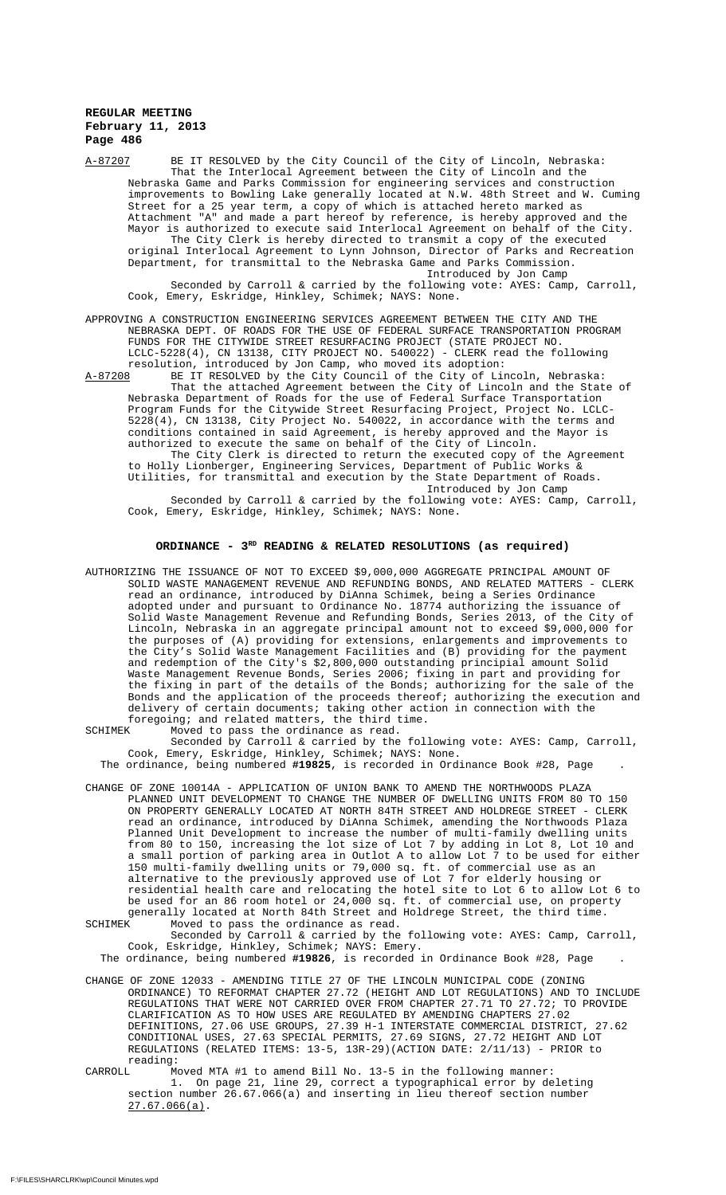A-87207 BE IT RESOLVED by the City Council of the City of Lincoln, Nebraska: That the Interlocal Agreement between the City of Lincoln and the Nebraska Game and Parks Commission for engineering services and construction improvements to Bowling Lake generally located at N.W. 48th Street and W. Cuming Street for a 25 year term, a copy of which is attached hereto marked as Attachment "A" and made a part hereof by reference, is hereby approved and the Mayor is authorized to execute said Interlocal Agreement on behalf of the City. The City Clerk is hereby directed to transmit a copy of the executed original Interlocal Agreement to Lynn Johnson, Director of Parks and Recreation Department, for transmittal to the Nebraska Game and Parks Commission. Introduced by Jon Camp

Seconded by Carroll & carried by the following vote: AYES: Camp, Carroll, Cook, Emery, Eskridge, Hinkley, Schimek; NAYS: None.

APPROVING A CONSTRUCTION ENGINEERING SERVICES AGREEMENT BETWEEN THE CITY AND THE NEBRASKA DEPT. OF ROADS FOR THE USE OF FEDERAL SURFACE TRANSPORTATION PROGRAM FUNDS FOR THE CITYWIDE STREET RESURFACING PROJECT (STATE PROJECT NO. LCLC-5228(4), CN 13138, CITY PROJECT NO. 540022) - CLERK read the following resolution, introduced by Jon Camp, who moved its adoption:

A-87208 BE IT RESOLVED by the City Council of the City of Lincoln, Nebraska: That the attached Agreement between the City of Lincoln and the State of Nebraska Department of Roads for the use of Federal Surface Transportation Program Funds for the Citywide Street Resurfacing Project, Project No. LCLC-5228(4), CN 13138, City Project No. 540022, in accordance with the terms and conditions contained in said Agreement, is hereby approved and the Mayor is authorized to execute the same on behalf of the City of Lincoln.

The City Clerk is directed to return the executed copy of the Agreement to Holly Lionberger, Engineering Services, Department of Public Works & Utilities, for transmittal and execution by the State Department of Roads. Introduced by Jon Camp

Seconded by Carroll & carried by the following vote: AYES: Camp, Carroll, Cook, Emery, Eskridge, Hinkley, Schimek; NAYS: None.

## **ORDINANCE - 3RD READING & RELATED RESOLUTIONS (as required)**

AUTHORIZING THE ISSUANCE OF NOT TO EXCEED \$9,000,000 AGGREGATE PRINCIPAL AMOUNT OF SOLID WASTE MANAGEMENT REVENUE AND REFUNDING BONDS, AND RELATED MATTERS - CLERK read an ordinance, introduced by DiAnna Schimek, being a Series Ordinance adopted under and pursuant to Ordinance No. 18774 authorizing the issuance of Solid Waste Management Revenue and Refunding Bonds, Series 2013, of the City of Lincoln, Nebraska in an aggregate principal amount not to exceed \$9,000,000 for the purposes of (A) providing for extensions, enlargements and improvements to the City's Solid Waste Management Facilities and (B) providing for the payment and redemption of the City's \$2,800,000 outstanding principial amount Solid Waste Management Revenue Bonds, Series 2006; fixing in part and providing for the fixing in part of the details of the Bonds; authorizing for the sale of the Bonds and the application of the proceeds thereof; authorizing the execution and delivery of certain documents; taking other action in connection with the foregoing; and related matters, the third time.<br>SCHIMEK Moved to pass the ordinance as read.

Moved to pass the ordinance as read. Seconded by Carroll & carried by the following vote: AYES: Camp, Carroll, Cook, Emery, Eskridge, Hinkley, Schimek; NAYS: None.

The ordinance, being numbered **#19825**, is recorded in Ordinance Book #28, Page .

CHANGE OF ZONE 10014A - APPLICATION OF UNION BANK TO AMEND THE NORTHWOODS PLAZA PLANNED UNIT DEVELOPMENT TO CHANGE THE NUMBER OF DWELLING UNITS FROM 80 TO 150 ON PROPERTY GENERALLY LOCATED AT NORTH 84TH STREET AND HOLDREGE STREET - CLERK read an ordinance, introduced by DiAnna Schimek, amending the Northwoods Plaza Planned Unit Development to increase the number of multi-family dwelling units from 80 to 150, increasing the lot size of Lot 7 by adding in Lot 8, Lot 10 and a small portion of parking area in Outlot A to allow Lot  $\tilde{7}$  to be used for either 150 multi-family dwelling units or 79,000 sq. ft. of commercial use as an alternative to the previously approved use of Lot 7 for elderly housing or residential health care and relocating the hotel site to Lot 6 to allow Lot 6 to be used for an 86 room hotel or 24,000 sq. ft. of commercial use, on property generally located at North 84th Street and Holdrege Street, the third time. SCHIMEK Moved to pass the ordinance as read.

Seconded by Carroll & carried by the following vote: AYES: Camp, Carroll, Cook, Eskridge, Hinkley, Schimek; NAYS: Emery.

The ordinance, being numbered **#19826**, is recorded in Ordinance Book #28, Page .

- CHANGE OF ZONE 12033 AMENDING TITLE 27 OF THE LINCOLN MUNICIPAL CODE (ZONING ORDINANCE) TO REFORMAT CHAPTER 27.72 (HEIGHT AND LOT REGULATIONS) AND TO INCLUDE REGULATIONS THAT WERE NOT CARRIED OVER FROM CHAPTER 27.71 TO 27.72; TO PROVIDE CLARIFICATION AS TO HOW USES ARE REGULATED BY AMENDING CHAPTERS 27.02 DEFINITIONS, 27.06 USE GROUPS, 27.39 H-1 INTERSTATE COMMERCIAL DISTRICT, 27.62 CONDITIONAL USES, 27.63 SPECIAL PERMITS, 27.69 SIGNS, 27.72 HEIGHT AND LOT REGULATIONS (RELATED ITEMS: 13-5, 13R-29)(ACTION DATE: 2/11/13) - PRIOR to reading:<br>CARROLL M
- CARROLL Moved MTA #1 to amend Bill No. 13-5 in the following manner: 1. On page 21, line 29, correct a typographical error by deleting section number 26.67.066(a) and inserting in lieu thereof section number 27.67.066(a).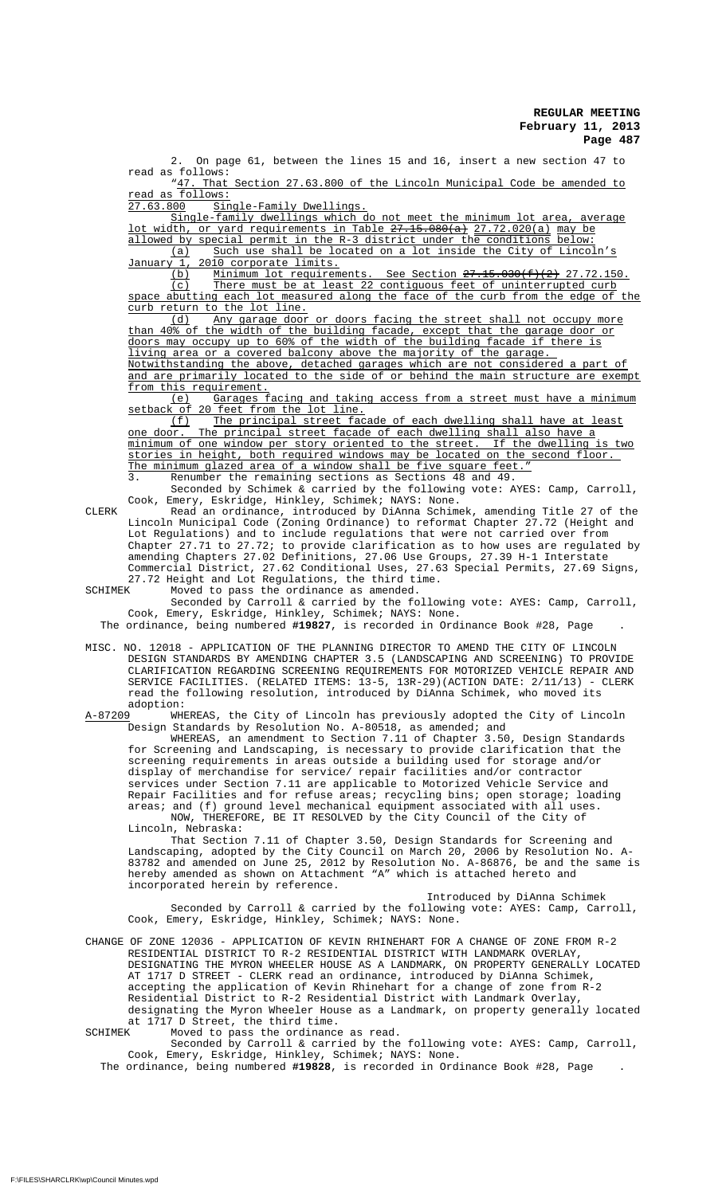2. On page 61, between the lines 15 and 16, insert a new section 47 to read as follows:<br>"47. That

That Section 27.63.800 of the Lincoln Municipal Code be amended to read as follows:<br>27.63.800 Sin

Single-Family Dwellings.

Single-family dwellings which do not meet the minimum lot area, average lot width, or yard requirements in Table <del>27.15.080(a)</del> 27.72.020(a) may be allowed by special permit in the R-3 district under the conditions below: (a) Such use shall be located on a lot inside the City of Lincoln's January 1, 2010 corporate limits.<br>(b) Minimum lot requirem

(b) Minimum lot requirements. See Section  $27.15.030(f)(2)$  27.72.150. (c) There must be at least 22 contiguous feet of uninterrupted curb space abutting each lot measured along the face of the curb from the edge of the curb return to the lot line.

(d) Any garage door or doors facing the street shall not occupy more than 40% of the width of the building facade, except that the garage door or doors may occupy up to 60% of the width of the building facade if there is living area or a covered balcony above the majority of the garage. Notwithstanding the above, detached garages which are not considered a part of and are primarily located to the side of or behind the main structure are exempt from this requirement.

Garages facing and taking access from a street must have a minimum etback of 20 feet from the lot line.

(f) The principal street facade of each dwelling shall have at least<br>one door. The principal street facade of each dwelling shall also have a The principal street facade of each dwelling shall also have a minimum of one window per story oriented to the street. If the dwelling is two stories in height, both required windows may be located on the second floor. The minimum glazed area of a window shall be five square feet." Renumber the remaining sections as Sections 48 and 49.

Seconded by Schimek & carried by the following vote: AYES: Camp, Carroll, Cook, Emery, Eskridge, Hinkley, Schimek; NAYS: None.

CLERK Read an ordinance, introduced by DiAnna Schimek, amending Title 27 of the Lincoln Municipal Code (Zoning Ordinance) to reformat Chapter 27.72 (Height and Lot Regulations) and to include regulations that were not carried over from Chapter 27.71 to 27.72; to provide clarification as to how uses are regulated by amending Chapters 27.02 Definitions, 27.06 Use Groups, 27.39 H-1 Interstate Commercial District, 27.62 Conditional Uses, 27.63 Special Permits, 27.69 Signs, 27.72 Height and Lot Regulations, the third time.<br>SCHIMEK Moved to pass the ordinance as amended.

SCHIMEK Moved to pass the ordinance as amended. Seconded by Carroll & carried by the following vote: AYES: Camp, Carroll, Cook, Emery, Eskridge, Hinkley, Schimek; NAYS: None.

The ordinance, being numbered **#19827**, is recorded in Ordinance Book #28, Page .

MISC. NO. 12018 - APPLICATION OF THE PLANNING DIRECTOR TO AMEND THE CITY OF LINCOLN DESIGN STANDARDS BY AMENDING CHAPTER 3.5 (LANDSCAPING AND SCREENING) TO PROVIDE CLARIFICATION REGARDING SCREENING REQUIREMENTS FOR MOTORIZED VEHICLE REPAIR AND SERVICE FACILITIES. (RELATED ITEMS: 13-5, 13R-29)(ACTION DATE: 2/11/13) - CLERK read the following resolution, introduced by DiAnna Schimek, who moved its

adoption:<br>A-87209 WHE WHEREAS, the City of Lincoln has previously adopted the City of Lincoln Design Standards by Resolution No. A-80518, as amended; and

WHEREAS, an amendment to Section 7.11 of Chapter 3.50, Design Standards for Screening and Landscaping, is necessary to provide clarification that the screening requirements in areas outside a building used for storage and/or display of merchandise for service/ repair facilities and/or contractor services under Section 7.11 are applicable to Motorized Vehicle Service and Repair Facilities and for refuse areas; recycling bins; open storage; loading areas; and (f) ground level mechanical equipment associated with all uses. NOW, THEREFORE, BE IT RESOLVED by the City Council of the City of Lincoln, Nebraska:

That Section 7.11 of Chapter 3.50, Design Standards for Screening and Landscaping, adopted by the City Council on March 20, 2006 by Resolution No. A-83782 and amended on June 25, 2012 by Resolution No. A-86876, be and the same is hereby amended as shown on Attachment "A" which is attached hereto and incorporated herein by reference.

Introduced by DiAnna Schimek Seconded by Carroll & carried by the following vote: AYES: Camp, Carroll, Cook, Emery, Eskridge, Hinkley, Schimek; NAYS: None.

CHANGE OF ZONE 12036 - APPLICATION OF KEVIN RHINEHART FOR A CHANGE OF ZONE FROM R-2 RESIDENTIAL DISTRICT TO R-2 RESIDENTIAL DISTRICT WITH LANDMARK OVERLAY, DESIGNATING THE MYRON WHEELER HOUSE AS A LANDMARK, ON PROPERTY GENERALLY LOCATED AT 1717 D STREET - CLERK read an ordinance, introduced by DiAnna Schimek, accepting the application of Kevin Rhinehart for a change of zone from R-2 Residential District to R-2 Residential District with Landmark Overlay, designating the Myron Wheeler House as a Landmark, on property generally located at 1717 D Street, the third time.<br>SCHIMEK Moved to pass the ordinance

Moved to pass the ordinance as read.

Seconded by Carroll & carried by the following vote: AYES: Camp, Carroll, Cook, Emery, Eskridge, Hinkley, Schimek; NAYS: None.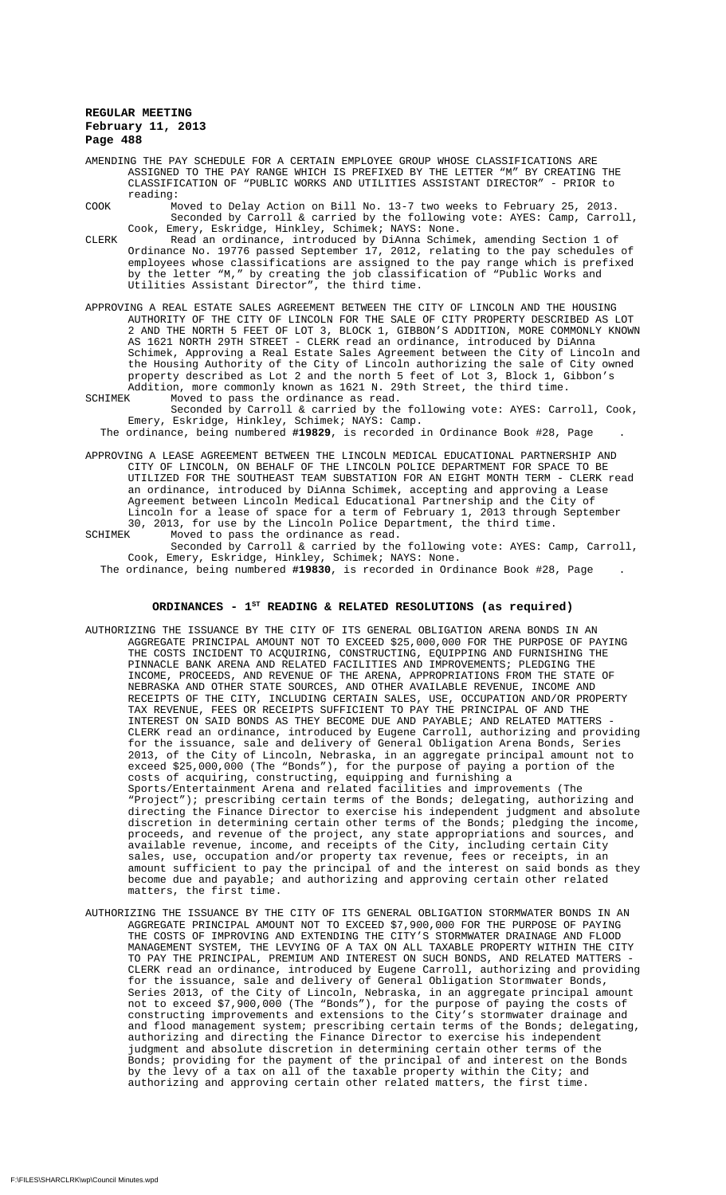- AMENDING THE PAY SCHEDULE FOR A CERTAIN EMPLOYEE GROUP WHOSE CLASSIFICATIONS ARE ASSIGNED TO THE PAY RANGE WHICH IS PREFIXED BY THE LETTER "M" BY CREATING THE CLASSIFICATION OF "PUBLIC WORKS AND UTILITIES ASSISTANT DIRECTOR" - PRIOR to reading:
- COOK Moved to Delay Action on Bill No. 13-7 two weeks to February 25, 2013. Seconded by Carroll & carried by the following vote: AYES: Camp, Carroll, Cook, Emery, Eskridge, Hinkley, Schimek; NAYS: None.
- CLERK Read an ordinance, introduced by DiAnna Schimek, amending Section 1 of Ordinance No. 19776 passed September 17, 2012, relating to the pay schedules of employees whose classifications are assigned to the pay range which is prefixed by the letter "M," by creating the job classification of "Public Works and Utilities Assistant Director", the third time.
- APPROVING A REAL ESTATE SALES AGREEMENT BETWEEN THE CITY OF LINCOLN AND THE HOUSING AUTHORITY OF THE CITY OF LINCOLN FOR THE SALE OF CITY PROPERTY DESCRIBED AS LOT 2 AND THE NORTH 5 FEET OF LOT 3, BLOCK 1, GIBBON'S ADDITION, MORE COMMONLY KNOWN AS 1621 NORTH 29TH STREET - CLERK read an ordinance, introduced by DiAnna Schimek, Approving a Real Estate Sales Agreement between the City of Lincoln and the Housing Authority of the City of Lincoln authorizing the sale of City owned property described as Lot 2 and the north 5 feet of Lot 3, Block 1, Gibbon's Addition, more commonly known as 1621 N. 29th Street, the third time.
- SCHIMEK Moved to pass the ordinance as read. Seconded by Carroll & carried by the following vote: AYES: Carroll, Cook, Emery, Eskridge, Hinkley, Schimek; NAYS: Camp.

The ordinance, being numbered **#19829**, is recorded in Ordinance Book #28, Page .

APPROVING A LEASE AGREEMENT BETWEEN THE LINCOLN MEDICAL EDUCATIONAL PARTNERSHIP AND CITY OF LINCOLN, ON BEHALF OF THE LINCOLN POLICE DEPARTMENT FOR SPACE TO BE UTILIZED FOR THE SOUTHEAST TEAM SUBSTATION FOR AN EIGHT MONTH TERM - CLERK read an ordinance, introduced by DiAnna Schimek, accepting and approving a Lease Agreement between Lincoln Medical Educational Partnership and the City of Lincoln for a lease of space for a term of February 1, 2013 through September 30, 2013, for use by the Lincoln Police Department, the third time.

SCHIMEK Moved to pass the ordinance as read. Seconded by Carroll & carried by the following vote: AYES: Camp, Carroll, Cook, Emery, Eskridge, Hinkley, Schimek; NAYS: None.

The ordinance, being numbered **#19830**, is recorded in Ordinance Book #28, Page .

## ORDINANCES - 1<sup>st</sup> READING & RELATED RESOLUTIONS (as required)

- AUTHORIZING THE ISSUANCE BY THE CITY OF ITS GENERAL OBLIGATION ARENA BONDS IN AN AGGREGATE PRINCIPAL AMOUNT NOT TO EXCEED \$25,000,000 FOR THE PURPOSE OF PAYING THE COSTS INCIDENT TO ACQUIRING, CONSTRUCTING, EQUIPPING AND FURNISHING THE PINNACLE BANK ARENA AND RELATED FACILITIES AND IMPROVEMENTS; PLEDGING THE INCOME, PROCEEDS, AND REVENUE OF THE ARENA, APPROPRIATIONS FROM THE STATE OF NEBRASKA AND OTHER STATE SOURCES, AND OTHER AVAILABLE REVENUE, INCOME AND RECEIPTS OF THE CITY, INCLUDING CERTAIN SALES, USE, OCCUPATION AND/OR PROPERTY TAX REVENUE, FEES OR RECEIPTS SUFFICIENT TO PAY THE PRINCIPAL OF AND THE INTEREST ON SAID BONDS AS THEY BECOME DUE AND PAYABLE; AND RELATED MATTERS CLERK read an ordinance, introduced by Eugene Carroll, authorizing and providing for the issuance, sale and delivery of General Obligation Arena Bonds, Series 2013, of the City of Lincoln, Nebraska, in an aggregate principal amount not to exceed \$25,000,000 (The "Bonds"), for the purpose of paying a portion of the costs of acquiring, constructing, equipping and furnishing a Sports/Entertainment Arena and related facilities and improvements (The "Project"); prescribing certain terms of the Bonds; delegating, authorizing and directing the Finance Director to exercise his independent judgment and absolute discretion in determining certain other terms of the Bonds; pledging the income, proceeds, and revenue of the project, any state appropriations and sources, and available revenue, income, and receipts of the City, including certain City sales, use, occupation and/or property tax revenue, fees or receipts, in an amount sufficient to pay the principal of and the interest on said bonds as they become due and payable; and authorizing and approving certain other related matters, the first time.
- AUTHORIZING THE ISSUANCE BY THE CITY OF ITS GENERAL OBLIGATION STORMWATER BONDS IN AN AGGREGATE PRINCIPAL AMOUNT NOT TO EXCEED \$7,900,000 FOR THE PURPOSE OF PAYING THE COSTS OF IMPROVING AND EXTENDING THE CITY'S STORMWATER DRAINAGE AND FLOOD MANAGEMENT SYSTEM, THE LEVYING OF A TAX ON ALL TAXABLE PROPERTY WITHIN THE CITY TO PAY THE PRINCIPAL, PREMIUM AND INTEREST ON SUCH BONDS, AND RELATED MATTERS - CLERK read an ordinance, introduced by Eugene Carroll, authorizing and providing for the issuance, sale and delivery of General Obligation Stormwater Bonds, Series 2013, of the City of Lincoln, Nebraska, in an aggregate principal amount not to exceed \$7,900,000 (The "Bonds"), for the purpose of paying the costs of constructing improvements and extensions to the City's stormwater drainage and and flood management system; prescribing certain terms of the Bonds; delegating, authorizing and directing the Finance Director to exercise his independent judgment and absolute discretion in determining certain other terms of the Bonds; providing for the payment of the principal of and interest on the Bonds by the levy of a tax on all of the taxable property within the City; and authorizing and approving certain other related matters, the first time.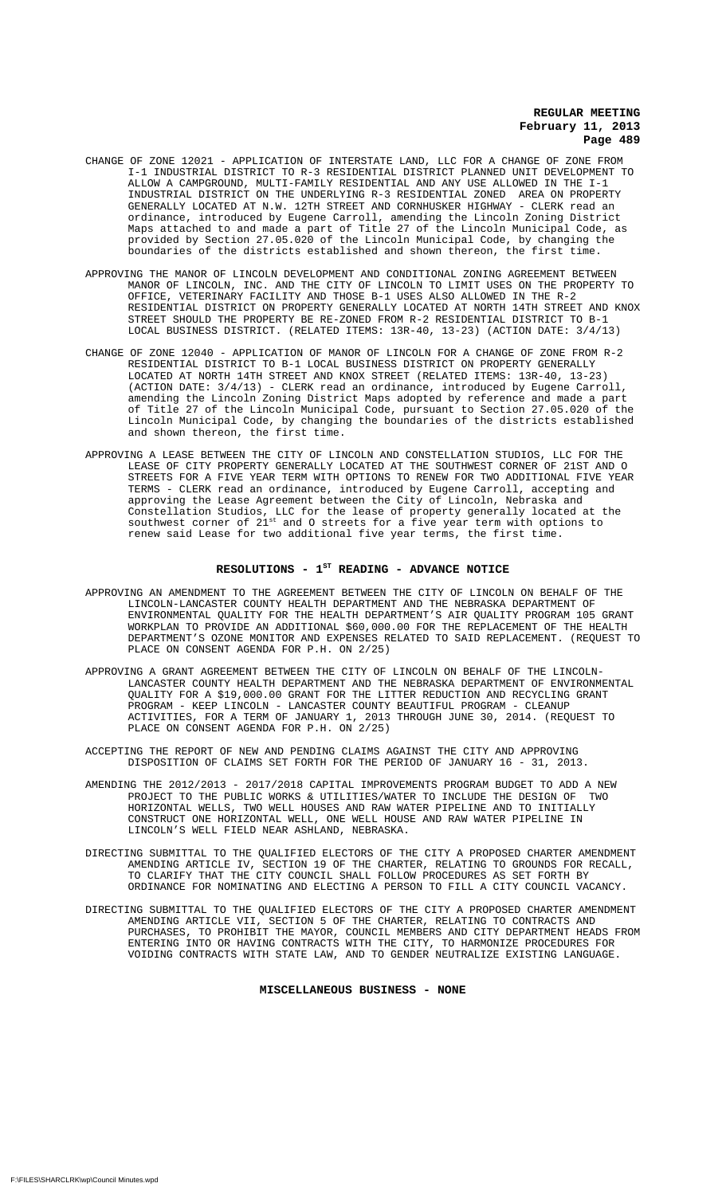- CHANGE OF ZONE 12021 APPLICATION OF INTERSTATE LAND, LLC FOR A CHANGE OF ZONE FROM I-1 INDUSTRIAL DISTRICT TO R-3 RESIDENTIAL DISTRICT PLANNED UNIT DEVELOPMENT TO ALLOW A CAMPGROUND, MULTI-FAMILY RESIDENTIAL AND ANY USE ALLOWED IN THE I-1 INDUSTRIAL DISTRICT ON THE UNDERLYING R-3 RESIDENTIAL ZONED AREA ON PROPERTY GENERALLY LOCATED AT N.W. 12TH STREET AND CORNHUSKER HIGHWAY - CLERK read an ordinance, introduced by Eugene Carroll, amending the Lincoln Zoning District Maps attached to and made a part of Title 27 of the Lincoln Municipal Code, as provided by Section 27.05.020 of the Lincoln Municipal Code, by changing the boundaries of the districts established and shown thereon, the first time.
- APPROVING THE MANOR OF LINCOLN DEVELOPMENT AND CONDITIONAL ZONING AGREEMENT BETWEEN MANOR OF LINCOLN, INC. AND THE CITY OF LINCOLN TO LIMIT USES ON THE PROPERTY TO OFFICE, VETERINARY FACILITY AND THOSE B-1 USES ALSO ALLOWED IN THE R-2 RESIDENTIAL DISTRICT ON PROPERTY GENERALLY LOCATED AT NORTH 14TH STREET AND KNOX STREET SHOULD THE PROPERTY BE RE-ZONED FROM R-2 RESIDENTIAL DISTRICT TO B-1 LOCAL BUSINESS DISTRICT. (RELATED ITEMS: 13R-40, 13-23) (ACTION DATE: 3/4/13)
- CHANGE OF ZONE 12040 APPLICATION OF MANOR OF LINCOLN FOR A CHANGE OF ZONE FROM R-2 RESIDENTIAL DISTRICT TO B-1 LOCAL BUSINESS DISTRICT ON PROPERTY GENERALLY LOCATED AT NORTH 14TH STREET AND KNOX STREET (RELATED ITEMS: 13R-40, 13-23) (ACTION DATE: 3/4/13) - CLERK read an ordinance, introduced by Eugene Carroll, amending the Lincoln Zoning District Maps adopted by reference and made a part of Title 27 of the Lincoln Municipal Code, pursuant to Section 27.05.020 of the Lincoln Municipal Code, by changing the boundaries of the districts established and shown thereon, the first time.
- APPROVING A LEASE BETWEEN THE CITY OF LINCOLN AND CONSTELLATION STUDIOS, LLC FOR THE LEASE OF CITY PROPERTY GENERALLY LOCATED AT THE SOUTHWEST CORNER OF 21ST AND O STREETS FOR A FIVE YEAR TERM WITH OPTIONS TO RENEW FOR TWO ADDITIONAL FIVE YEAR TERMS - CLERK read an ordinance, introduced by Eugene Carroll, accepting and approving the Lease Agreement between the City of Lincoln, Nebraska and Constellation Studios, LLC for the lease of property generally located at the southwest corner of  $21^{st}$  and O streets for a five year term with options to renew said Lease for two additional five year terms, the first time.

# RESOLUTIONS -  $1^{ST}$  READING - ADVANCE NOTICE

- APPROVING AN AMENDMENT TO THE AGREEMENT BETWEEN THE CITY OF LINCOLN ON BEHALF OF THE LINCOLN-LANCASTER COUNTY HEALTH DEPARTMENT AND THE NEBRASKA DEPARTMENT OF ENVIRONMENTAL QUALITY FOR THE HEALTH DEPARTMENT'S AIR QUALITY PROGRAM 105 GRANT WORKPLAN TO PROVIDE AN ADDITIONAL \$60,000.00 FOR THE REPLACEMENT OF THE HEALTH DEPARTMENT'S OZONE MONITOR AND EXPENSES RELATED TO SAID REPLACEMENT. (REQUEST TO PLACE ON CONSENT AGENDA FOR P.H. ON 2/25)
- APPROVING A GRANT AGREEMENT BETWEEN THE CITY OF LINCOLN ON BEHALF OF THE LINCOLN-LANCASTER COUNTY HEALTH DEPARTMENT AND THE NEBRASKA DEPARTMENT OF ENVIRONMENTAL QUALITY FOR A \$19,000.00 GRANT FOR THE LITTER REDUCTION AND RECYCLING GRANT PROGRAM - KEEP LINCOLN - LANCASTER COUNTY BEAUTIFUL PROGRAM - CLEANUP ACTIVITIES, FOR A TERM OF JANUARY 1, 2013 THROUGH JUNE 30, 2014. (REQUEST TO PLACE ON CONSENT AGENDA FOR P.H. ON 2/25)
- ACCEPTING THE REPORT OF NEW AND PENDING CLAIMS AGAINST THE CITY AND APPROVING DISPOSITION OF CLAIMS SET FORTH FOR THE PERIOD OF JANUARY 16 - 31, 2013.
- AMENDING THE 2012/2013 2017/2018 CAPITAL IMPROVEMENTS PROGRAM BUDGET TO ADD A NEW<br>PROJECT TO THE PUBLIC WORKS & UTILITIES/WATER TO INCLUDE THE DESIGN OF TWO PROJECT TO THE PUBLIC WORKS & UTILITIES/WATER TO INCLUDE THE DESIGN OF HORIZONTAL WELLS, TWO WELL HOUSES AND RAW WATER PIPELINE AND TO INITIALLY CONSTRUCT ONE HORIZONTAL WELL, ONE WELL HOUSE AND RAW WATER PIPELINE IN LINCOLN'S WELL FIELD NEAR ASHLAND, NEBRASKA.
- DIRECTING SUBMITTAL TO THE QUALIFIED ELECTORS OF THE CITY A PROPOSED CHARTER AMENDMENT AMENDING ARTICLE IV, SECTION 19 OF THE CHARTER, RELATING TO GROUNDS FOR RECALL, TO CLARIFY THAT THE CITY COUNCIL SHALL FOLLOW PROCEDURES AS SET FORTH BY ORDINANCE FOR NOMINATING AND ELECTING A PERSON TO FILL A CITY COUNCIL VACANCY.
- DIRECTING SUBMITTAL TO THE QUALIFIED ELECTORS OF THE CITY A PROPOSED CHARTER AMENDMENT AMENDING ARTICLE VII, SECTION 5 OF THE CHARTER, RELATING TO CONTRACTS AND PURCHASES, TO PROHIBIT THE MAYOR, COUNCIL MEMBERS AND CITY DEPARTMENT HEADS FROM ENTERING INTO OR HAVING CONTRACTS WITH THE CITY, TO HARMONIZE PROCEDURES FOR VOIDING CONTRACTS WITH STATE LAW, AND TO GENDER NEUTRALIZE EXISTING LANGUAGE.

**MISCELLANEOUS BUSINESS - NONE**